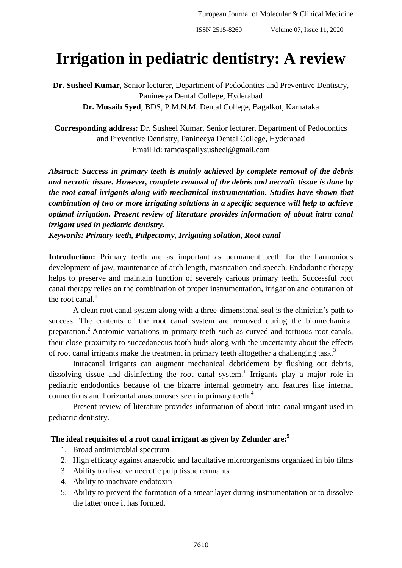# **Irrigation in pediatric dentistry: A review**

**Dr. Susheel Kumar**, Senior lecturer, Department of Pedodontics and Preventive Dentistry, Panineeya Dental College, Hyderabad **Dr. Musaib Syed**, BDS, P.M.N.M. Dental College, Bagalkot, Karnataka

**Corresponding address:** Dr. Susheel Kumar, Senior lecturer, Department of Pedodontics and Preventive Dentistry, Panineeya Dental College, Hyderabad Email Id: ramdaspallysusheel@gmail.com

*Abstract: Success in primary teeth is mainly achieved by complete removal of the debris and necrotic tissue. However, complete removal of the debris and necrotic tissue is done by the root canal irrigants along with mechanical instrumentation. Studies have shown that combination of two or more irrigating solutions in a specific sequence will help to achieve optimal irrigation. Present review of literature provides information of about intra canal irrigant used in pediatric dentistry.*

*Keywords: Primary teeth, Pulpectomy, Irrigating solution, Root canal*

**Introduction:** Primary teeth are as important as permanent teeth for the harmonious development of jaw, maintenance of arch length, mastication and speech. Endodontic therapy helps to preserve and maintain function of severely carious primary teeth. Successful root canal therapy relies on the combination of proper instrumentation, irrigation and obturation of the root canal. $<sup>1</sup>$ </sup>

A clean root canal system along with a three-dimensional seal is the clinician's path to success. The contents of the root canal system are removed during the biomechanical preparation.<sup>2</sup> Anatomic variations in primary teeth such as curved and tortuous root canals, their close proximity to succedaneous tooth buds along with the uncertainty about the effects of root canal irrigants make the treatment in primary teeth altogether a challenging task.<sup>3</sup>

Intracanal irrigants can augment mechanical debridement by flushing out debris, dissolving tissue and disinfecting the root canal system.<sup>1</sup> Irrigants play a major role in pediatric endodontics because of the bizarre internal geometry and features like internal connections and horizontal anastomoses seen in primary teeth.<sup>4</sup>

Present review of literature provides information of about intra canal irrigant used in pediatric dentistry.

# **The ideal requisites of a root canal irrigant as given by Zehnder are:<sup>5</sup>**

- 1. Broad antimicrobial spectrum
- 2. High efficacy against anaerobic and facultative microorganisms organized in bio films
- 3. Ability to dissolve necrotic pulp tissue remnants
- 4. Ability to inactivate endotoxin
- 5. Ability to prevent the formation of a smear layer during instrumentation or to dissolve the latter once it has formed.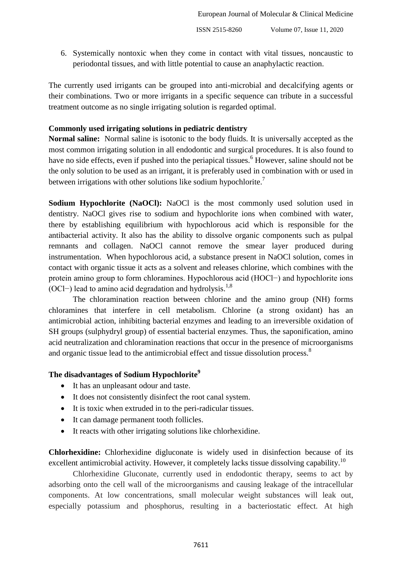6. Systemically nontoxic when they come in contact with vital tissues, noncaustic to periodontal tissues, and with little potential to cause an anaphylactic reaction.

The currently used irrigants can be grouped into anti-microbial and decalcifying agents or their combinations. Two or more irrigants in a specific sequence can tribute in a successful treatment outcome as no single irrigating solution is regarded optimal.

#### **Commonly used irrigating solutions in pediatric dentistry**

**Normal saline:** Normal saline is isotonic to the body fluids. It is universally accepted as the most common irrigating solution in all endodontic and surgical procedures. It is also found to have no side effects, even if pushed into the periapical tissues.<sup>6</sup> However, saline should not be the only solution to be used as an irrigant, it is preferably used in combination with or used in between irrigations with other solutions like sodium hypochlorite.<sup>7</sup>

**Sodium Hypochlorite (NaOCl):** NaOCl is the most commonly used solution used in dentistry. NaOCl gives rise to sodium and hypochlorite ions when combined with water, there by establishing equilibrium with hypochlorous acid which is responsible for the antibacterial activity. It also has the ability to dissolve organic components such as pulpal remnants and collagen. NaOCl cannot remove the smear layer produced during instrumentation. When hypochlorous acid, a substance present in NaOCl solution, comes in contact with organic tissue it acts as a solvent and releases chlorine, which combines with the protein amino group to form chloramines. Hypochlorous acid (HOCl−) and hypochlorite ions (OCl−) lead to amino acid degradation and hydrolysis.<sup>1,8</sup>

The chloramination reaction between chlorine and the amino group (NH) forms chloramines that interfere in cell metabolism. Chlorine (a strong oxidant) has an antimicrobial action, inhibiting bacterial enzymes and leading to an irreversible oxidation of SH groups (sulphydryl group) of essential bacterial enzymes. Thus, the saponification, amino acid neutralization and chloramination reactions that occur in the presence of microorganisms and organic tissue lead to the antimicrobial effect and tissue dissolution process.<sup>8</sup>

### **The disadvantages of Sodium Hypochlorite<sup>9</sup>**

- It has an unpleasant odour and taste.
- It does not consistently disinfect the root canal system.
- It is toxic when extruded in to the peri-radicular tissues.
- It can damage permanent tooth follicles.
- It reacts with other irrigating solutions like chlorhexidine.

**Chlorhexidine:** Chlorhexidine digluconate is widely used in disinfection because of its excellent antimicrobial activity. However, it completely lacks tissue dissolving capability.<sup>10</sup>

Chlorhexidine Gluconate, currently used in endodontic therapy, seems to act by adsorbing onto the cell wall of the microorganisms and causing leakage of the intracellular components. At low concentrations, small molecular weight substances will leak out, especially potassium and phosphorus, resulting in a bacteriostatic effect. At high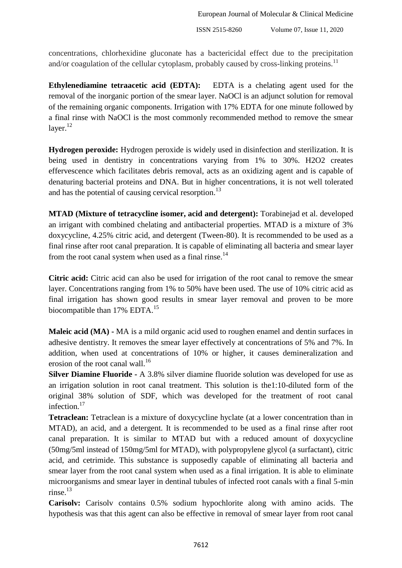concentrations, chlorhexidine gluconate has a bactericidal effect due to the precipitation and/or coagulation of the cellular cytoplasm, probably caused by cross-linking proteins.<sup>11</sup>

**Ethylenediamine tetraacetic acid (EDTA):** EDTA is a chelating agent used for the removal of the inorganic portion of the smear layer. NaOCl is an adjunct solution for removal of the remaining organic components. Irrigation with 17% EDTA for one minute followed by a final rinse with NaOCl is the most commonly recommended method to remove the smear layer. $^{12}$ 

**Hydrogen peroxide:** Hydrogen peroxide is widely used in disinfection and sterilization. It is being used in dentistry in concentrations varying from 1% to 30%. H2O2 creates effervescence which facilitates debris removal, acts as an oxidizing agent and is capable of denaturing bacterial proteins and DNA. But in higher concentrations, it is not well tolerated and has the potential of causing cervical resorption.<sup>13</sup>

**MTAD (Mixture of tetracycline isomer, acid and detergent):** Torabinejad et al. developed an irrigant with combined chelating and antibacterial properties. MTAD is a mixture of 3% doxycycline, 4.25% citric acid, and detergent (Tween-80). It is recommended to be used as a final rinse after root canal preparation. It is capable of eliminating all bacteria and smear layer from the root canal system when used as a final rinse. $^{14}$ 

**Citric acid:** Citric acid can also be used for irrigation of the root canal to remove the smear layer. Concentrations ranging from 1% to 50% have been used. The use of 10% citric acid as final irrigation has shown good results in smear layer removal and proven to be more biocompatible than 17% EDTA.<sup>15</sup>

**Maleic acid (MA) -** MA is a mild organic acid used to roughen enamel and dentin surfaces in adhesive dentistry. It removes the smear layer effectively at concentrations of 5% and 7%. In addition, when used at concentrations of 10% or higher, it causes demineralization and erosion of the root canal wall.<sup>16</sup>

**Silver Diamine Fluoride -** A 3.8% silver diamine fluoride solution was developed for use as an irrigation solution in root canal treatment. This solution is the1:10-diluted form of the original 38% solution of SDF, which was developed for the treatment of root canal infection.<sup>17</sup>

**Tetraclean:** Tetraclean is a mixture of doxycycline hyclate (at a lower concentration than in MTAD), an acid, and a detergent. It is recommended to be used as a final rinse after root canal preparation. It is similar to MTAD but with a reduced amount of doxycycline (50mg/5ml instead of 150mg/5ml for MTAD), with polypropylene glycol (a surfactant), citric acid, and cetrimide. This substance is supposedly capable of eliminating all bacteria and smear layer from the root canal system when used as a final irrigation. It is able to eliminate microorganisms and smear layer in dentinal tubules of infected root canals with a final 5-min  $r$ inse.<sup>13</sup>

**Carisolv:** Carisolv contains 0.5% sodium hypochlorite along with amino acids. The hypothesis was that this agent can also be effective in removal of smear layer from root canal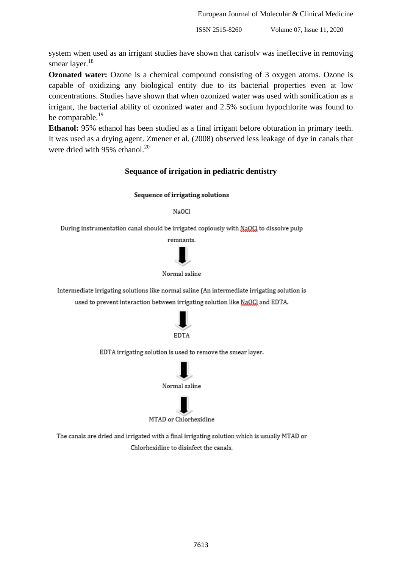system when used as an irrigant studies have shown that carisolv was ineffective in removing smear layer.<sup>18</sup>

**Ozonated water:** Ozone is a chemical compound consisting of 3 oxygen atoms. Ozone is capable of oxidizing any biological entity due to its bacterial properties even at low concentrations. Studies have shown that when ozonized water was used with sonification as a irrigant, the bacterial ability of ozonized water and 2.5% sodium hypochlorite was found to be comparable.<sup>19</sup>

**Ethanol:** 95% ethanol has been studied as a final irrigant before obturation in primary teeth. It was used as a drying agent. Zmener et al. (2008) observed less leakage of dye in canals that were dried with 95% ethanol. $^{20}$ 

#### **Sequance of irrigation in pediatric dentistry**

#### Sequence of irrigating solutions

NaOCl

During instrumentation canal should be irrigated copiously with NaQCI to dissolve pulp



Normal saline

Intermediate irrigating solutions like normal saline (An intermediate irrigating solution is used to prevent interaction between irrigating solution like NaQCl and EDTA.



EDTA irrigating solution is used to remove the smear layer.



MTAD or Chlorhexidine

The canals are dried and irrigated with a final irrigating solution which is usually MTAD or Chlorhexidine to disinfect the canals.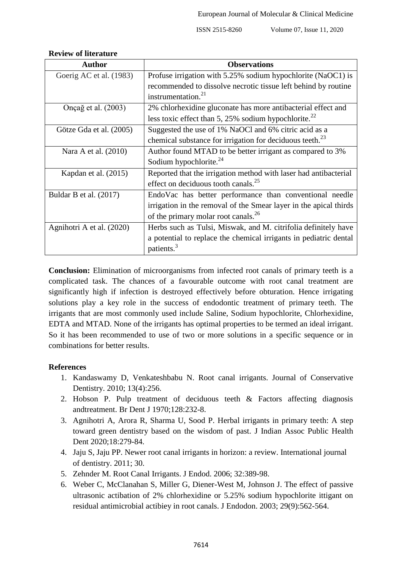| <b>Author</b>             | <b>Observations</b>                                                                        |
|---------------------------|--------------------------------------------------------------------------------------------|
| Goerig AC et al. (1983)   | Profuse irrigation with 5.25% sodium hypochlorite (NaOC1) is                               |
|                           | recommended to dissolve necrotic tissue left behind by routine<br>instrumentation. $^{21}$ |
| Onçağ et al. (2003)       | 2% chlorhexidine gluconate has more antibacterial effect and                               |
|                           | less toxic effect than 5, 25% sodium hypochlorite. $^{22}$                                 |
| Götze Gda et al. (2005)   | Suggested the use of 1% NaOCl and 6% citric acid as a                                      |
|                           | chemical substance for irrigation for deciduous teeth. <sup>23</sup>                       |
| Nara A et al. (2010)      | Author found MTAD to be better irrigant as compared to 3%                                  |
|                           | Sodium hypochlorite. $^{24}$                                                               |
| Kapdan et al. (2015)      | Reported that the irrigation method with laser had antibacterial                           |
|                           | effect on deciduous tooth canals. <sup>25</sup>                                            |
| Buldar B et al. $(2017)$  | EndoVac has better performance than conventional needle                                    |
|                           | irrigation in the removal of the Smear layer in the apical thirds                          |
|                           | of the primary molar root canals. <sup>26</sup>                                            |
| Agnihotri A et al. (2020) | Herbs such as Tulsi, Miswak, and M. citrifolia definitely have                             |
|                           | a potential to replace the chemical irrigants in pediatric dental                          |
|                           | patients. <sup>3</sup>                                                                     |

#### **Review of literature**

**Conclusion:** Elimination of microorganisms from infected root canals of primary teeth is a complicated task. The chances of a favourable outcome with root canal treatment are significantly high if infection is destroyed effectively before obturation. Hence irrigating solutions play a key role in the success of endodontic treatment of primary teeth. The irrigants that are most commonly used include Saline, Sodium hypochlorite, Chlorhexidine, EDTA and MTAD. None of the irrigants has optimal properties to be termed an ideal irrigant. So it has been recommended to use of two or more solutions in a specific sequence or in combinations for better results.

# **References**

- 1. Kandaswamy D, Venkateshbabu N. Root canal irrigants. Journal of Conservative Dentistry. 2010; 13(4):256.
- 2. Hobson P. Pulp treatment of deciduous teeth & Factors affecting diagnosis andtreatment. Br Dent J 1970;128:232-8.
- 3. Agnihotri A, Arora R, Sharma U, Sood P. Herbal irrigants in primary teeth: A step toward green dentistry based on the wisdom of past. J Indian Assoc Public Health Dent 2020;18:279-84.
- 4. Jaju S, Jaju PP. Newer root canal irrigants in horizon: a review. International journal of dentistry. 2011; 30.
- 5. Zehnder M. Root Canal Irrigants. J Endod. 2006; 32:389-98.
- 6. Weber C, McClanahan S, Miller G, Diener-West M, Johnson J. The effect of passive ultrasonic actibation of 2% chlorhexidine or 5.25% sodium hypochlorite ittigant on residual antimicrobial actibiey in root canals. J Endodon. 2003; 29(9):562-564.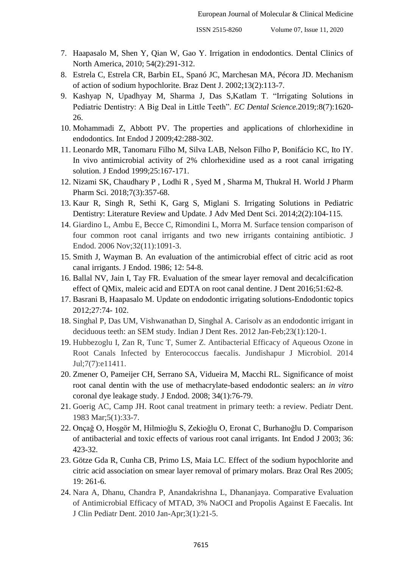- 7. Haapasalo M, Shen Y, Qian W, Gao Y. Irrigation in endodontics. Dental Clinics of North America, 2010; 54(2):291-312.
- 8. Estrela C, Estrela CR, Barbin EL, Spanó JC, Marchesan MA, Pécora JD. Mechanism of action of sodium hypochlorite. Braz Dent J. 2002;13(2):113-7.
- 9. Kashyap N, Upadhyay M, Sharma J, Das S,Katlam T. "Irrigating Solutions in Pediatric Dentistry: A Big Deal in Little Teeth". *EC Dental Science.*2019;:8(7):1620- 26.
- 10. Mohammadi Z, Abbott PV. The properties and applications of chlorhexidine in endodontics. Int Endod J 2009;42:288-302.
- 11. Leonardo MR, Tanomaru Filho M, Silva LAB, Nelson Filho P, Bonifácio KC, Ito IY. In vivo antimicrobial activity of 2% chlorhexidine used as a root canal irrigating solution. J Endod 1999;25:167-171.
- 12. Nizami SK, Chaudhary P , Lodhi R , Syed M , Sharma M, Thukral H. World J Pharm Pharm Sci. 2018;7(3):357-68.
- 13. Kaur R, Singh R, Sethi K, Garg S, Miglani S. Irrigating Solutions in Pediatric Dentistry: Literature Review and Update. J Adv Med Dent Sci. 2014;2(2):104-115.
- 14. Giardino L, Ambu E, Becce C, Rimondini L, Morra M. Surface tension comparison of four common root canal irrigants and two new irrigants containing antibiotic. J Endod. 2006 Nov;32(11):1091-3.
- 15. Smith J, Wayman B. An evaluation of the antimicrobial effect of citric acid as root canal irrigants. J Endod. 1986; 12: 54-8.
- 16. Ballal NV, Jain I, Tay FR. Evaluation of the smear layer removal and decalcification effect of QMix, maleic acid and EDTA on root canal dentine. J Dent 2016;51:62-8.
- 17. Basrani B, Haapasalo M. Update on endodontic irrigating solutions-Endodontic topics 2012;27:74- 102.
- 18. Singhal P, Das UM, Vishwanathan D, Singhal A. Carisolv as an endodontic irrigant in deciduous teeth: an SEM study. Indian J Dent Res. 2012 Jan-Feb;23(1):120-1.
- 19. Hubbezoglu I, Zan R, Tunc T, Sumer Z. Antibacterial Efficacy of Aqueous Ozone in Root Canals Infected by Enterococcus faecalis. Jundishapur J Microbiol. 2014 Jul;7(7):e11411.
- 20. Zmener O, Pameijer CH, Serrano SA, Vidueira M, Macchi RL. Significance of moist root canal dentin with the use of methacrylate-based endodontic sealers: an *in vitro*  coronal dye leakage study. J Endod. 2008; 34(1):76-79.
- 21. Goerig AC, Camp JH. Root canal treatment in primary teeth: a review. Pediatr Dent. 1983 Mar;5(1):33-7.
- 22. Onçağ O, Hoşgör M, Hilmioğlu S, Zekioğlu O, Eronat C, Burhanoğlu D. Comparison of antibacterial and toxic effects of various root canal irrigants. Int Endod J 2003; 36: 423-32.
- 23. Götze Gda R, Cunha CB, Primo LS, Maia LC. Effect of the sodium hypochlorite and citric acid association on smear layer removal of primary molars. Braz Oral Res 2005; 19: 261-6.
- 24. Nara A, Dhanu, Chandra P, Anandakrishna L, Dhananjaya. Comparative Evaluation of Antimicrobial Efficacy of MTAD, 3% NaOCI and Propolis Against E Faecalis. Int J Clin Pediatr Dent. 2010 Jan-Apr;3(1):21-5.